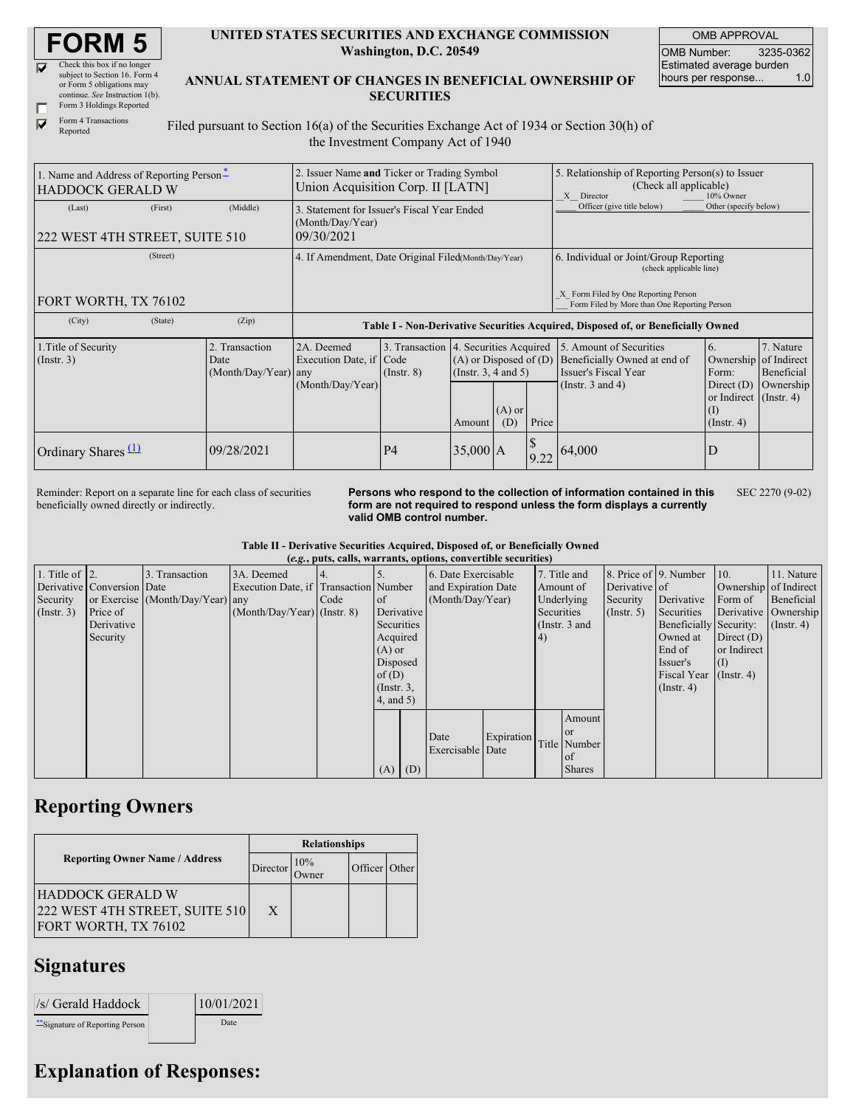| <b>FORM 5</b> |
|---------------|
|---------------|

| M | Check this box if no longer     |
|---|---------------------------------|
|   | subject to Section 16. Form 4   |
|   | or Form 5 obligations may       |
|   | continue. See Instruction 1(b). |
|   | Form 3 Holdings Reported        |

|   | LOIT 3 HORINGS IZE              |
|---|---------------------------------|
| ⊽ | Form 4 Transactions<br>Reported |

**UNITED STATES SECURITIES AND EXCHANGE COMMISSION Washington, D.C. 20549**

OMB APPROVAL OMB Number: 3235-0362 Estimated average burden hours per response... 1.0

**ANNUAL STATEMENT OF CHANGES IN BENEFICIAL OWNERSHIP OF SECURITIES**

Filed pursuant to Section 16(a) of the Securities Exchange Act of 1934 or Section 30(h) of the Investment Company Act of 1940

| 1. Name and Address of Reporting Person-<br><b>HADDOCK GERALD W</b> |         |                                                  | 2. Issuer Name and Ticker or Trading Symbol<br>Union Acquisition Corp. II [LATN] |                 |                                                                                            |  |            | 5. Relationship of Reporting Person(s) to Issuer<br>(Check all applicable)<br>X<br>Director<br>10% Owner                            |                                                                                                                   |                                      |  |
|---------------------------------------------------------------------|---------|--------------------------------------------------|----------------------------------------------------------------------------------|-----------------|--------------------------------------------------------------------------------------------|--|------------|-------------------------------------------------------------------------------------------------------------------------------------|-------------------------------------------------------------------------------------------------------------------|--------------------------------------|--|
| (Last)<br>222 WEST 4TH STREET, SUITE 510                            | (First) | (Middle)                                         | 3. Statement for Issuer's Fiscal Year Ended<br>(Month/Day/Year)<br>09/30/2021    |                 |                                                                                            |  |            | Officer (give title below)                                                                                                          | Other (specify below)                                                                                             |                                      |  |
| (Street)                                                            |         |                                                  | 4. If Amendment, Date Original Filed(Month/Day/Year)                             |                 |                                                                                            |  |            | 6. Individual or Joint/Group Reporting<br>(check applicable line)<br>X Form Filed by One Reporting Person                           |                                                                                                                   |                                      |  |
| FORT WORTH, TX 76102                                                |         |                                                  |                                                                                  |                 |                                                                                            |  |            | Form Filed by More than One Reporting Person                                                                                        |                                                                                                                   |                                      |  |
| (City)                                                              | (State) | (Zip)                                            | Table I - Non-Derivative Securities Acquired, Disposed of, or Beneficially Owned |                 |                                                                                            |  |            |                                                                                                                                     |                                                                                                                   |                                      |  |
| 1. Title of Security<br>$($ Instr. 3 $)$                            |         | 2. Transaction<br>Date<br>$(Month/Day/Year)$ any | 2A. Deemed<br>Execution Date, if Code<br>(Month/Day/Year)                        | $($ Instr. $8)$ | 3. Transaction 4. Securities Acquired<br>(Insert. 3, 4 and 5)<br>$(A)$ or<br>(D)<br>Amount |  | Price      | 5. Amount of Securities<br>$(A)$ or Disposed of $(D)$ Beneficially Owned at end of<br>Issuer's Fiscal Year<br>(Instr. $3$ and $4$ ) | <sup>6.</sup><br>Ownership of Indirect<br>Form:<br>Direct $(D)$<br>or Indirect (Instr. 4)<br>(I)<br>$($ Instr. 4) | 7. Nature<br>Beneficial<br>Ownership |  |
| Ordinary Shares $(1)$                                               |         | 09/28/2021                                       |                                                                                  | P <sub>4</sub>  | $35,000$ A                                                                                 |  | \$<br>9.22 | 64,000                                                                                                                              | D                                                                                                                 |                                      |  |

Reminder: Report on a separate line for each class of securities beneficially owned directly or indirectly.

**Persons who respond to the collection of information contained in this form are not required to respond unless the form displays a currently valid OMB control number.** SEC 2270 (9-02)

**Table II - Derivative Securities Acquired, Disposed of, or Beneficially Owned**

| (e.g., puts, calls, warrants, options, convertible securities) |                            |                                  |                                       |      |                 |     |                     |            |            |               |                  |                        |                       |                      |
|----------------------------------------------------------------|----------------------------|----------------------------------|---------------------------------------|------|-----------------|-----|---------------------|------------|------------|---------------|------------------|------------------------|-----------------------|----------------------|
| 1. Title of $\vert$ 2.                                         |                            | 3. Transaction                   | 3A. Deemed                            | 4.   |                 |     | 6. Date Exercisable |            |            | 7. Title and  |                  | 8. Price of 9. Number  | 10.                   | 11. Nature           |
|                                                                | Derivative Conversion Date |                                  | Execution Date, if Transaction Number |      |                 |     | and Expiration Date |            | Amount of  |               | Derivative of    |                        | Ownership of Indirect |                      |
| Security                                                       |                            | or Exercise (Month/Day/Year) any |                                       | Code | of              |     | (Month/Day/Year)    |            | Underlying |               | Security         | Derivative             | Form of               | Beneficial           |
| $($ Instr. 3 $)$                                               | Price of                   |                                  | $(Month/Day/Year)$ (Instr. 8)         |      | Derivative      |     |                     |            | Securities |               | $($ Instr. 5 $)$ | Securities             |                       | Derivative Ownership |
|                                                                | Derivative                 |                                  |                                       |      | Securities      |     |                     |            |            | (Instr. 3 and |                  | Beneficially Security: |                       | $($ Instr. 4)        |
|                                                                | Security                   |                                  |                                       |      | Acquired        |     |                     |            | (4)        |               |                  | Owned at               | Direct $(D)$          |                      |
|                                                                |                            |                                  |                                       |      | $(A)$ or        |     |                     |            |            |               |                  | End of                 | or Indirect           |                      |
|                                                                |                            |                                  |                                       |      | Disposed        |     |                     |            |            |               |                  | Issuer's               | $\vert$ (1)           |                      |
|                                                                |                            |                                  |                                       |      | of $(D)$        |     |                     |            |            |               |                  | <b>Fiscal Year</b>     | $($ Instr. 4)         |                      |
|                                                                |                            |                                  |                                       |      | $($ Instr. $3,$ |     |                     |            |            |               |                  | $($ Instr. 4 $)$       |                       |                      |
|                                                                |                            |                                  |                                       |      | $4$ , and $5$ ) |     |                     |            |            |               |                  |                        |                       |                      |
|                                                                |                            |                                  |                                       |      |                 |     |                     |            |            | Amount        |                  |                        |                       |                      |
|                                                                |                            |                                  |                                       |      |                 |     |                     |            |            | l or          |                  |                        |                       |                      |
|                                                                |                            |                                  |                                       |      |                 |     | Date                | Expiration |            | Title Number  |                  |                        |                       |                      |
|                                                                |                            |                                  |                                       |      |                 |     | Exercisable Date    |            |            | of            |                  |                        |                       |                      |
|                                                                |                            |                                  |                                       |      | (A)             | (D) |                     |            |            | <b>Shares</b> |                  |                        |                       |                      |

## **Reporting Owners**

|                                                                            |          | <b>Relationships</b> |                |       |  |  |  |  |  |
|----------------------------------------------------------------------------|----------|----------------------|----------------|-------|--|--|--|--|--|
| <b>Reporting Owner Name / Address</b>                                      | Director | 10%                  | <b>Officer</b> | Other |  |  |  |  |  |
| HADDOCK GERALD W<br>222 WEST 4TH STREET, SUITE 510<br>FORT WORTH, TX 76102 | X        |                      |                |       |  |  |  |  |  |

## **Signatures**

| /s/ Gerald Haddock               | 10/01/2021 |
|----------------------------------|------------|
| ** Signature of Reporting Person | Date       |

## **Explanation of Responses:**